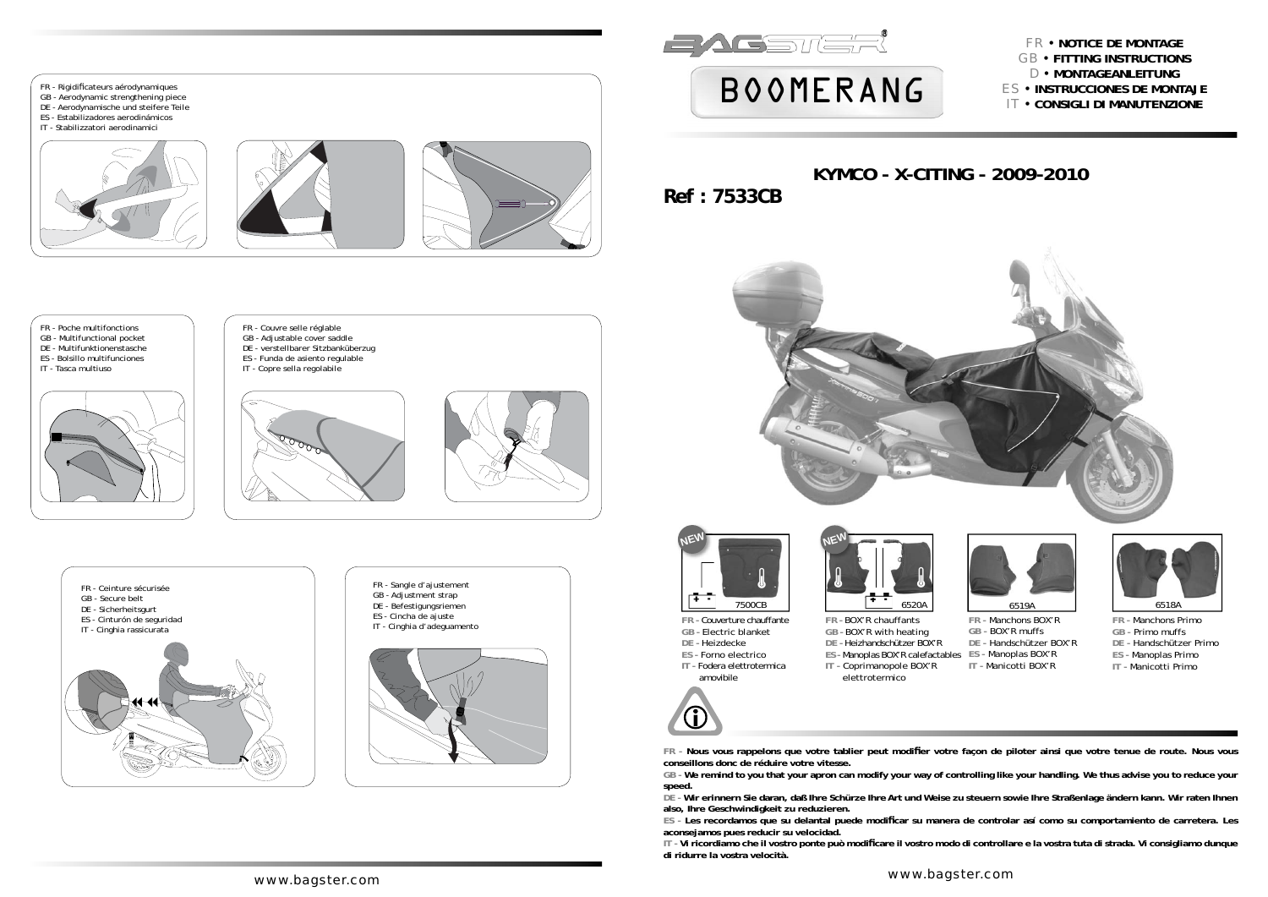

**conseillons donc de réduire votre vitesse. GB - We remind to you that your apron can modify your way of controlling like your handling. We thus advise you to reduce your speed. DE - Wir erinnern Sie daran, daß Ihre Schürze Ihre Art und Weise zu steuern sowie Ihre Straßenlage ändern kann. Wir raten Ihnen also, Ihre Geschwindigkeit zu reduzieren. ES - Les recordamos que su delantal puede modifi car su manera de controlar así como su comportamiento de carretera. Les aconsejamos pues reducir su velocidad. IT - Vi ricordiamo che il vostro ponte può modifi care il vostro modo di controllare e la vostra tuta di strada. Vi consigliamo dunque** 

**di ridurre la vostra velocità.**



### FR y **NOTICE DE MONTAGE** GB y **FITTING INSTRUCTIONS**  D y **MONTAGEANLEITUNG** ES y **INSTRUCCIONES DE MONTAJE IT • CONSIGLI DI MANUTENZIONE**















- 
- 
- 

FR - Nous vous rappelons que votre tablier peut modifier votre façon de piloter ainsi que votre tenue de route. Nous vous